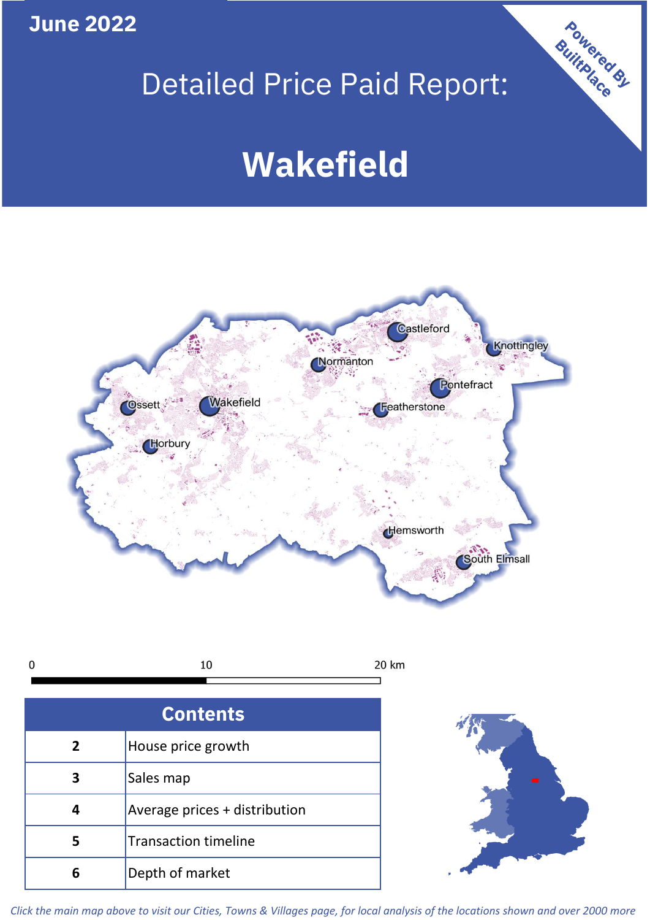**June 2022**

# Detailed Price Paid Report:

# **Wakefield**





| <b>Contents</b> |                               |  |  |
|-----------------|-------------------------------|--|--|
| $\overline{2}$  | House price growth            |  |  |
| 3               | Sales map                     |  |  |
|                 | Average prices + distribution |  |  |
|                 | <b>Transaction timeline</b>   |  |  |
|                 | Depth of market               |  |  |



Powered By

*Click the main map above to visit our Cities, Towns & Villages page, for local analysis of the locations shown and over 2000 more*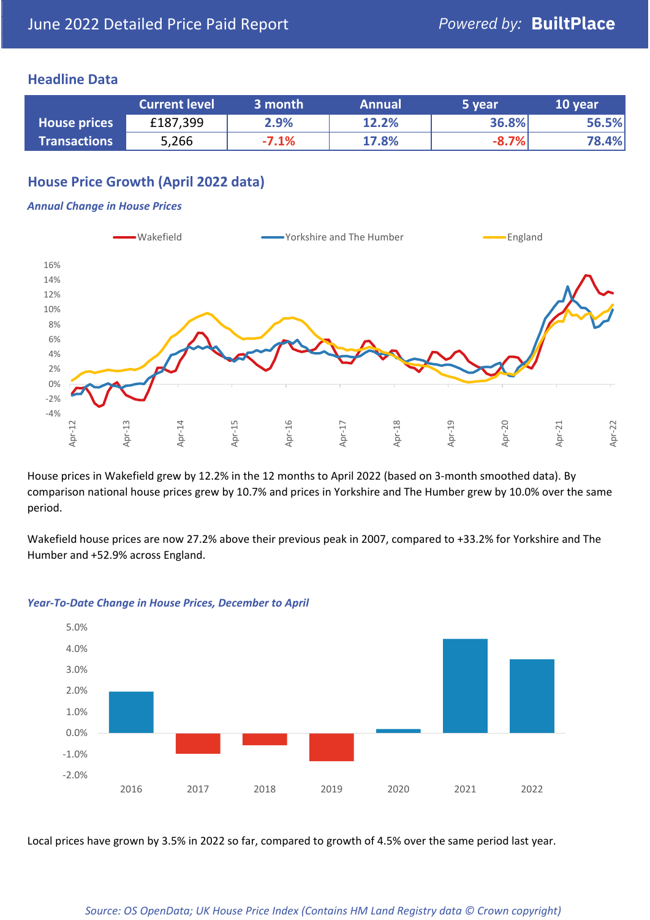### **Headline Data**

|                     | <b>Current level</b> | 3 month | <b>Annual</b> | 5 year  | 10 year |
|---------------------|----------------------|---------|---------------|---------|---------|
| <b>House prices</b> | £187,399             | 2.9%    | 12.2%         | 36.8%   | 56.5%   |
| <b>Transactions</b> | 5,266                | $-7.1%$ | 17.8%         | $-8.7%$ | 78.4%   |

# **House Price Growth (April 2022 data)**

#### *Annual Change in House Prices*



House prices in Wakefield grew by 12.2% in the 12 months to April 2022 (based on 3-month smoothed data). By comparison national house prices grew by 10.7% and prices in Yorkshire and The Humber grew by 10.0% over the same period.

Wakefield house prices are now 27.2% above their previous peak in 2007, compared to +33.2% for Yorkshire and The Humber and +52.9% across England.



#### *Year-To-Date Change in House Prices, December to April*

Local prices have grown by 3.5% in 2022 so far, compared to growth of 4.5% over the same period last year.

#### *Source: OS OpenData; UK House Price Index (Contains HM Land Registry data © Crown copyright)*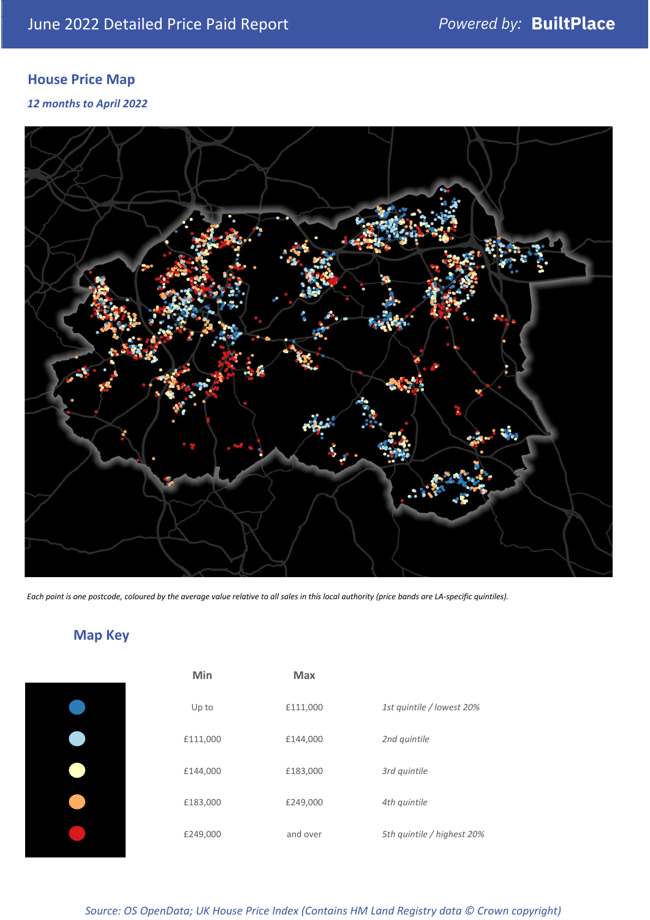# **House Price Map**

#### *12 months to April 2022*



*Each point is one postcode, coloured by the average value relative to all sales in this local authority (price bands are LA-specific quintiles).*

# **Map Key**

| Min      | <b>Max</b> |                            |
|----------|------------|----------------------------|
| Up to    | £111,000   | 1st quintile / lowest 20%  |
| £111,000 | £144,000   | 2nd quintile               |
| £144,000 | £183,000   | 3rd quintile               |
| £183,000 | £249,000   | 4th quintile               |
| £249,000 | and over   | 5th quintile / highest 20% |

## *Source: OS OpenData; UK House Price Index (Contains HM Land Registry data © Crown copyright)*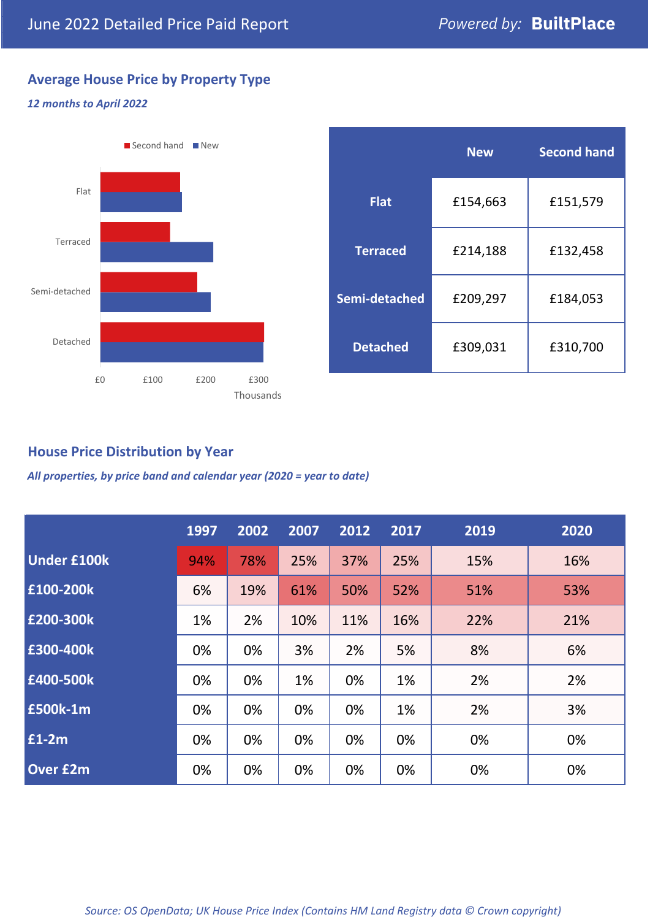# **Average House Price by Property Type**

### *12 months to April 2022*



|                 | <b>New</b> | <b>Second hand</b> |  |  |
|-----------------|------------|--------------------|--|--|
| <b>Flat</b>     | £154,663   | £151,579           |  |  |
| <b>Terraced</b> | £214,188   | £132,458           |  |  |
| Semi-detached   | £209,297   | £184,053           |  |  |
| <b>Detached</b> | £309,031   | £310,700           |  |  |

# **House Price Distribution by Year**

*All properties, by price band and calendar year (2020 = year to date)*

|                    | 1997 | 2002 | 2007 | 2012 | 2017 | 2019 | 2020 |
|--------------------|------|------|------|------|------|------|------|
| <b>Under £100k</b> | 94%  | 78%  | 25%  | 37%  | 25%  | 15%  | 16%  |
| £100-200k          | 6%   | 19%  | 61%  | 50%  | 52%  | 51%  | 53%  |
| E200-300k          | 1%   | 2%   | 10%  | 11%  | 16%  | 22%  | 21%  |
| £300-400k          | 0%   | 0%   | 3%   | 2%   | 5%   | 8%   | 6%   |
| £400-500k          | 0%   | 0%   | 1%   | 0%   | 1%   | 2%   | 2%   |
| <b>£500k-1m</b>    | 0%   | 0%   | 0%   | 0%   | 1%   | 2%   | 3%   |
| £1-2m              | 0%   | 0%   | 0%   | 0%   | 0%   | 0%   | 0%   |
| <b>Over £2m</b>    | 0%   | 0%   | 0%   | 0%   | 0%   | 0%   | 0%   |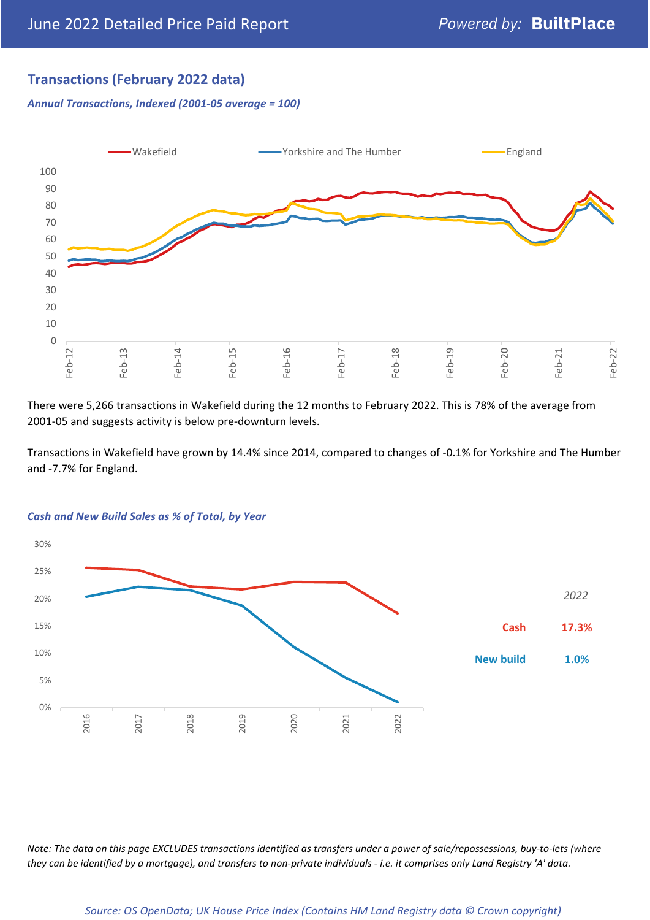# **Transactions (February 2022 data)**

*Annual Transactions, Indexed (2001-05 average = 100)*



There were 5,266 transactions in Wakefield during the 12 months to February 2022. This is 78% of the average from 2001-05 and suggests activity is below pre-downturn levels.

Transactions in Wakefield have grown by 14.4% since 2014, compared to changes of -0.1% for Yorkshire and The Humber and -7.7% for England.



#### *Cash and New Build Sales as % of Total, by Year*

*Note: The data on this page EXCLUDES transactions identified as transfers under a power of sale/repossessions, buy-to-lets (where they can be identified by a mortgage), and transfers to non-private individuals - i.e. it comprises only Land Registry 'A' data.*